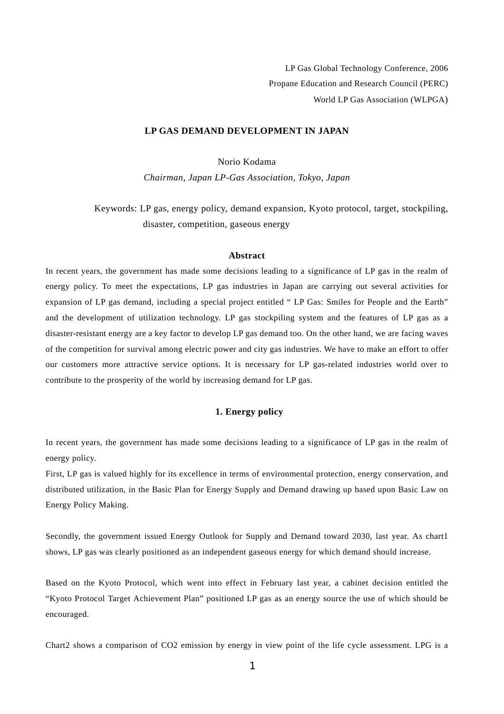LP Gas Global Technology Conference, 2006 Propane Education and Research Council (PERC) World LP Gas Association (WLPGA)

#### **LP GAS DEMAND DEVELOPMENT IN JAPAN**

Norio Kodama

*Chairman, Japan LP-Gas Association, Tokyo, Japan* 

Keywords: LP gas, energy policy, demand expansion, Kyoto protocol, target, stockpiling, disaster, competition, gaseous energy

### **Abstract**

In recent years, the government has made some decisions leading to a significance of LP gas in the realm of energy policy. To meet the expectations, LP gas industries in Japan are carrying out several activities for expansion of LP gas demand, including a special project entitled " LP Gas: Smiles for People and the Earth" and the development of utilization technology. LP gas stockpiling system and the features of LP gas as a disaster-resistant energy are a key factor to develop LP gas demand too. On the other hand, we are facing waves of the competition for survival among electric power and city gas industries. We have to make an effort to offer our customers more attractive service options. It is necessary for LP gas-related industries world over to contribute to the prosperity of the world by increasing demand for LP gas.

### **1. Energy policy**

In recent years, the government has made some decisions leading to a significance of LP gas in the realm of energy policy.

First, LP gas is valued highly for its excellence in terms of environmental protection, energy conservation, and distributed utilization, in the Basic Plan for Energy Supply and Demand drawing up based upon Basic Law on Energy Policy Making.

Secondly, the government issued Energy Outlook for Supply and Demand toward 2030, last year. As chart1 shows, LP gas was clearly positioned as an independent gaseous energy for which demand should increase.

Based on the Kyoto Protocol, which went into effect in February last year, a cabinet decision entitled the "Kyoto Protocol Target Achievement Plan" positioned LP gas as an energy source the use of which should be encouraged.

Chart2 shows a comparison of CO2 emission by energy in view point of the life cycle assessment. LPG is a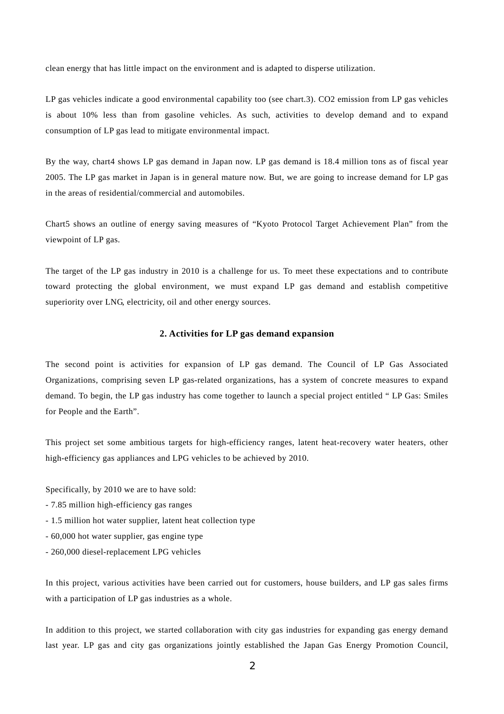clean energy that has little impact on the environment and is adapted to disperse utilization.

LP gas vehicles indicate a good environmental capability too (see chart.3). CO2 emission from LP gas vehicles is about 10% less than from gasoline vehicles. As such, activities to develop demand and to expand consumption of LP gas lead to mitigate environmental impact.

By the way, chart4 shows LP gas demand in Japan now. LP gas demand is 18.4 million tons as of fiscal year 2005. The LP gas market in Japan is in general mature now. But, we are going to increase demand for LP gas in the areas of residential/commercial and automobiles.

Chart5 shows an outline of energy saving measures of "Kyoto Protocol Target Achievement Plan" from the viewpoint of LP gas.

The target of the LP gas industry in 2010 is a challenge for us. To meet these expectations and to contribute toward protecting the global environment, we must expand LP gas demand and establish competitive superiority over LNG, electricity, oil and other energy sources.

#### **2. Activities for LP gas demand expansion**

The second point is activities for expansion of LP gas demand. The Council of LP Gas Associated Organizations, comprising seven LP gas-related organizations, has a system of concrete measures to expand demand. To begin, the LP gas industry has come together to launch a special project entitled " LP Gas: Smiles for People and the Earth".

This project set some ambitious targets for high-efficiency ranges, latent heat-recovery water heaters, other high-efficiency gas appliances and LPG vehicles to be achieved by 2010.

Specifically, by 2010 we are to have sold:

- 7.85 million high-efficiency gas ranges
- 1.5 million hot water supplier, latent heat collection type
- 60,000 hot water supplier, gas engine type
- 260,000 diesel-replacement LPG vehicles

In this project, various activities have been carried out for customers, house builders, and LP gas sales firms with a participation of LP gas industries as a whole.

In addition to this project, we started collaboration with city gas industries for expanding gas energy demand last year. LP gas and city gas organizations jointly established the Japan Gas Energy Promotion Council,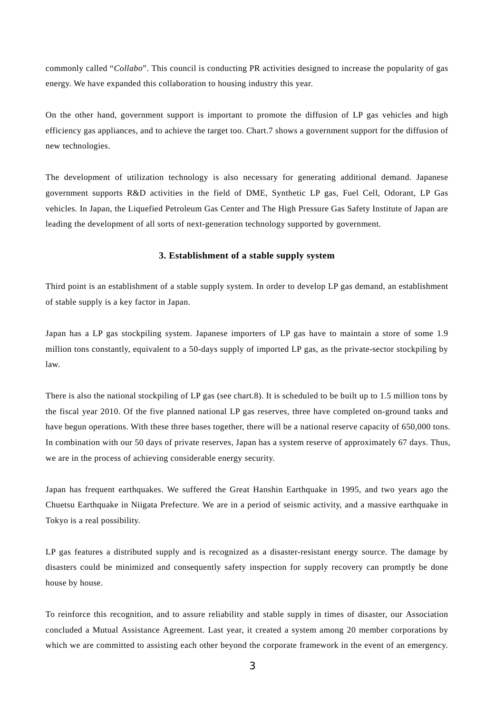commonly called "*Collabo*". This council is conducting PR activities designed to increase the popularity of gas energy. We have expanded this collaboration to housing industry this year.

On the other hand, government support is important to promote the diffusion of LP gas vehicles and high efficiency gas appliances, and to achieve the target too. Chart.7 shows a government support for the diffusion of new technologies.

The development of utilization technology is also necessary for generating additional demand. Japanese government supports R&D activities in the field of DME, Synthetic LP gas, Fuel Cell, Odorant, LP Gas vehicles. In Japan, the Liquefied Petroleum Gas Center and The High Pressure Gas Safety Institute of Japan are leading the development of all sorts of next-generation technology supported by government.

## **3. Establishment of a stable supply system**

Third point is an establishment of a stable supply system. In order to develop LP gas demand, an establishment of stable supply is a key factor in Japan.

Japan has a LP gas stockpiling system. Japanese importers of LP gas have to maintain a store of some 1.9 million tons constantly, equivalent to a 50-days supply of imported LP gas, as the private-sector stockpiling by law.

There is also the national stockpiling of LP gas (see chart.8). It is scheduled to be built up to 1.5 million tons by the fiscal year 2010. Of the five planned national LP gas reserves, three have completed on-ground tanks and have begun operations. With these three bases together, there will be a national reserve capacity of 650,000 tons. In combination with our 50 days of private reserves, Japan has a system reserve of approximately 67 days. Thus, we are in the process of achieving considerable energy security.

Japan has frequent earthquakes. We suffered the Great Hanshin Earthquake in 1995, and two years ago the Chuetsu Earthquake in Niigata Prefecture. We are in a period of seismic activity, and a massive earthquake in Tokyo is a real possibility.

LP gas features a distributed supply and is recognized as a disaster-resistant energy source. The damage by disasters could be minimized and consequently safety inspection for supply recovery can promptly be done house by house.

To reinforce this recognition, and to assure reliability and stable supply in times of disaster, our Association concluded a Mutual Assistance Agreement. Last year, it created a system among 20 member corporations by which we are committed to assisting each other beyond the corporate framework in the event of an emergency.